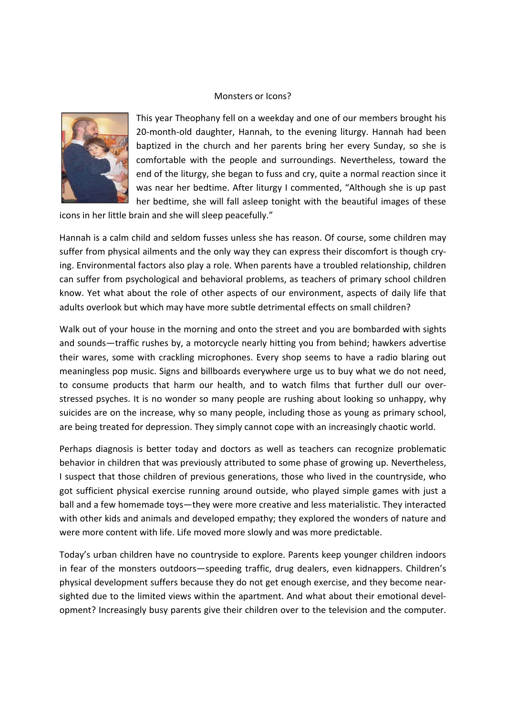## Monsters or Icons?



This year Theophany fell on a weekday and one of our members brought his 20-month-old daughter, Hannah, to the evening liturgy. Hannah had been baptized in the church and her parents bring her every Sunday, so she is comfortable with the people and surroundings. Nevertheless, toward the end of the liturgy, she began to fuss and cry, quite a normal reaction since it was near her bedtime. After liturgy I commented, "Although she is up past her bedtime, she will fall asleep tonight with the beautiful images of these

icons in her little brain and she will sleep peacefully."

Hannah is a calm child and seldom fusses unless she has reason. Of course, some children may suffer from physical ailments and the only way they can express their discomfort is though crying. Environmental factors also play a role. When parents have a troubled relationship, children can suffer from psychological and behavioral problems, as teachers of primary school children know. Yet what about the role of other aspects of our environment, aspects of daily life that adults overlook but which may have more subtle detrimental effects on small children?

Walk out of your house in the morning and onto the street and you are bombarded with sights and sounds—traffic rushes by, a motorcycle nearly hitting you from behind; hawkers advertise their wares, some with crackling microphones. Every shop seems to have a radio blaring out meaningless pop music. Signs and billboards everywhere urge us to buy what we do not need, to consume products that harm our health, and to watch films that further dull our over‐ stressed psyches. It is no wonder so many people are rushing about looking so unhappy, why suicides are on the increase, why so many people, including those as young as primary school, are being treated for depression. They simply cannot cope with an increasingly chaotic world.

Perhaps diagnosis is better today and doctors as well as teachers can recognize problematic behavior in children that was previously attributed to some phase of growing up. Nevertheless, I suspect that those children of previous generations, those who lived in the countryside, who got sufficient physical exercise running around outside, who played simple games with just a ball and a few homemade toys—they were more creative and less materialistic. They interacted with other kids and animals and developed empathy; they explored the wonders of nature and were more content with life. Life moved more slowly and was more predictable.

Today's urban children have no countryside to explore. Parents keep younger children indoors in fear of the monsters outdoors—speeding traffic, drug dealers, even kidnappers. Children's physical development suffers because they do not get enough exercise, and they become near‐ sighted due to the limited views within the apartment. And what about their emotional devel‐ opment? Increasingly busy parents give their children over to the television and the computer.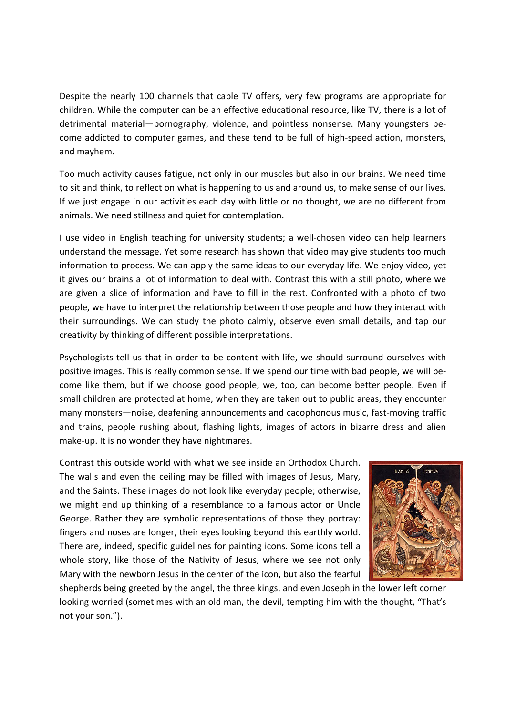Despite the nearly 100 channels that cable TV offers, very few programs are appropriate for children. While the computer can be an effective educational resource, like TV, there is a lot of detrimental material—pornography, violence, and pointless nonsense. Many youngsters be‐ come addicted to computer games, and these tend to be full of high‐speed action, monsters, and mayhem.

Too much activity causes fatigue, not only in our muscles but also in our brains. We need time to sit and think, to reflect on what is happening to us and around us, to make sense of our lives. If we just engage in our activities each day with little or no thought, we are no different from animals. We need stillness and quiet for contemplation.

I use video in English teaching for university students; a well‐chosen video can help learners understand the message. Yet some research has shown that video may give students too much information to process. We can apply the same ideas to our everyday life. We enjoy video, yet it gives our brains a lot of information to deal with. Contrast this with a still photo, where we are given a slice of information and have to fill in the rest. Confronted with a photo of two people, we have to interpret the relationship between those people and how they interact with their surroundings. We can study the photo calmly, observe even small details, and tap our creativity by thinking of different possible interpretations.

Psychologists tell us that in order to be content with life, we should surround ourselves with positive images. This is really common sense. If we spend our time with bad people, we will be‐ come like them, but if we choose good people, we, too, can become better people. Even if small children are protected at home, when they are taken out to public areas, they encounter many monsters—noise, deafening announcements and cacophonous music, fast-moving traffic and trains, people rushing about, flashing lights, images of actors in bizarre dress and alien make-up. It is no wonder they have nightmares.

Contrast this outside world with what we see inside an Orthodox Church. The walls and even the ceiling may be filled with images of Jesus, Mary, and the Saints. These images do not look like everyday people; otherwise, we might end up thinking of a resemblance to a famous actor or Uncle George. Rather they are symbolic representations of those they portray: fingers and noses are longer, their eyes looking beyond this earthly world. There are, indeed, specific guidelines for painting icons. Some icons tell a whole story, like those of the Nativity of Jesus, where we see not only Mary with the newborn Jesus in the center of the icon, but also the fearful



shepherds being greeted by the angel, the three kings, and even Joseph in the lower left corner looking worried (sometimes with an old man, the devil, tempting him with the thought, "That's not your son.").